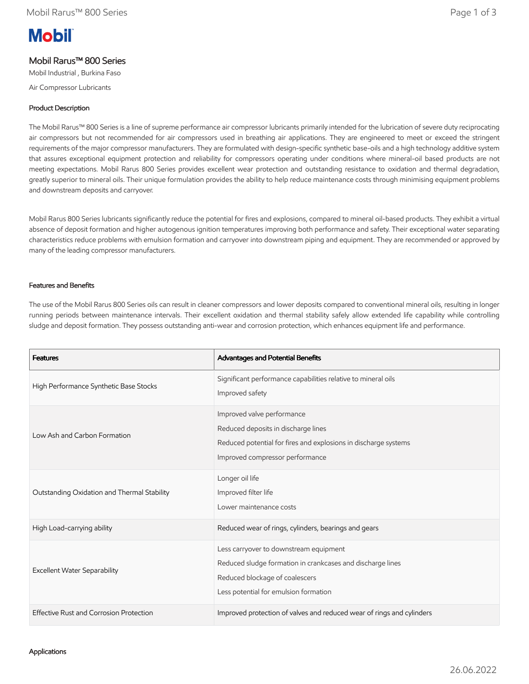# **Mobil**

# Mobil Rarus™ 800 Series

Mobil Industrial , Burkina Faso

Air Compressor Lubricants

## Product Description

The Mobil Rarus™ 800 Series is a line of supreme performance air compressor lubricants primarily intended for the lubrication of severe duty reciprocating air compressors but not recommended for air compressors used in breathing air applications. They are engineered to meet or exceed the stringent requirements of the major compressor manufacturers. They are formulated with design-specific synthetic base-oils and a high technology additive system that assures exceptional equipment protection and reliability for compressors operating under conditions where mineral-oil based products are not meeting expectations. Mobil Rarus 800 Series provides excellent wear protection and outstanding resistance to oxidation and thermal degradation, greatly superior to mineral oils. Their unique formulation provides the ability to help reduce maintenance costs through minimising equipment problems and downstream deposits and carryover.

Mobil Rarus 800 Series lubricants significantly reduce the potential for fires and explosions, compared to mineral oil-based products. They exhibit a virtual absence of deposit formation and higher autogenous ignition temperatures improving both performance and safety. Their exceptional water separating characteristics reduce problems with emulsion formation and carryover into downstream piping and equipment. They are recommended or approved by many of the leading compressor manufacturers.

### Features and Benefits

The use of the Mobil Rarus 800 Series oils can result in cleaner compressors and lower deposits compared to conventional mineral oils, resulting in longer running periods between maintenance intervals. Their excellent oxidation and thermal stability safely allow extended life capability while controlling sludge and deposit formation. They possess outstanding anti-wear and corrosion protection, which enhances equipment life and performance.

| <b>Features</b>                             | Advantages and Potential Benefits                                                                                                                                               |
|---------------------------------------------|---------------------------------------------------------------------------------------------------------------------------------------------------------------------------------|
| High Performance Synthetic Base Stocks      | Significant performance capabilities relative to mineral oils<br>Improved safety                                                                                                |
| Low Ash and Carbon Formation                | Improved valve performance<br>Reduced deposits in discharge lines<br>Reduced potential for fires and explosions in discharge systems<br>Improved compressor performance         |
| Outstanding Oxidation and Thermal Stability | Longer oil life<br>Improved filter life<br>Lower maintenance costs                                                                                                              |
| High Load-carrying ability                  | Reduced wear of rings, cylinders, bearings and gears                                                                                                                            |
| <b>Excellent Water Separability</b>         | Less carryover to downstream equipment<br>Reduced sludge formation in crankcases and discharge lines<br>Reduced blockage of coalescers<br>Less potential for emulsion formation |
| Effective Rust and Corrosion Protection     | Improved protection of valves and reduced wear of rings and cylinders                                                                                                           |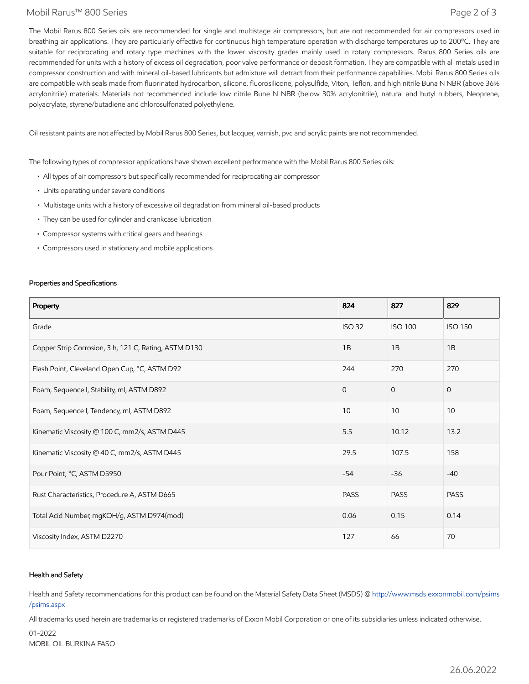#### Mobil Rarus™ 800 Series Page 2 of 3

The Mobil Rarus 800 Series oils are recommended for single and multistage air compressors, but are not recommended for air compressors used in breathing air applications. They are particularly effective for continuous high temperature operation with discharge temperatures up to 200°C. They are suitable for reciprocating and rotary type machines with the lower viscosity grades mainly used in rotary compressors. Rarus 800 Series oils are recommended for units with a history of excess oil degradation, poor valve performance or deposit formation. They are compatible with all metals used in compressor construction and with mineral oil-based lubricants but admixture will detract from their performance capabilities. Mobil Rarus 800 Series oils are compatible with seals made from fluorinated hydrocarbon, silicone, fluorosilicone, polysulfide, Viton, Teflon, and high nitrile Buna N NBR (above 36% acrylonitrile) materials. Materials not recommended include low nitrile Bune N NBR (below 30% acrylonitrile), natural and butyl rubbers, Neoprene, polyacrylate, styrene/butadiene and chlorosulfonated polyethylene.

Oil resistant paints are not affected by Mobil Rarus 800 Series, but lacquer, varnish, pvc and acrylic paints are not recommended.

The following types of compressor applications have shown excellent performance with the Mobil Rarus 800 Series oils:

- All types of air compressors but specifically recommended for reciprocating air compressor
- Units operating under severe conditions
- Multistage units with a history of excessive oil degradation from mineral oil-based products
- They can be used for cylinder and crankcase lubrication
- Compressor systems with critical gears and bearings
- Compressors used in stationary and mobile applications

#### Properties and Specifications

| Property                                              | 824           | 827            | 829            |
|-------------------------------------------------------|---------------|----------------|----------------|
| Grade                                                 | <b>ISO 32</b> | <b>ISO 100</b> | <b>ISO 150</b> |
| Copper Strip Corrosion, 3 h, 121 C, Rating, ASTM D130 | 1B            | 1B             | 1B             |
| Flash Point, Cleveland Open Cup, °C, ASTM D92         | 244           | 270            | 270            |
| Foam, Sequence I, Stability, ml, ASTM D892            | $\Omega$      | $\Omega$       | $\mathbf{0}$   |
| Foam, Sequence I, Tendency, ml, ASTM D892             | 10            | 10             | 10             |
| Kinematic Viscosity @ 100 C, mm2/s, ASTM D445         | 5.5           | 10.12          | 13.2           |
| Kinematic Viscosity @ 40 C, mm2/s, ASTM D445          | 29.5          | 107.5          | 158            |
| Pour Point, °C, ASTM D5950                            | $-54$         | $-36$          | $-40$          |
| Rust Characteristics, Procedure A, ASTM D665          | <b>PASS</b>   | <b>PASS</b>    | <b>PASS</b>    |
| Total Acid Number, mgKOH/g, ASTM D974(mod)            | 0.06          | 0.15           | 0.14           |
| Viscosity Index, ASTM D2270                           | 127           | 66             | 70             |

#### Health and Safety

Health and Safety recommendations for this product can be found on the Material Safety Data Sheet (MSDS) @ [http://www.msds.exxonmobil.com/psims](http://www.msds.exxonmobil.com/psims/psims.aspx) /psims.aspx

All trademarks used herein are trademarks or registered trademarks of Exxon Mobil Corporation or one of its subsidiaries unless indicated otherwise.

01-2022 MOBIL OIL BURKINA FASC